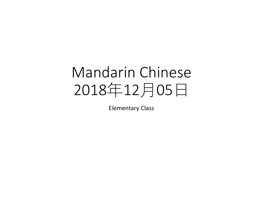# Mandarin Chinese 2018年12月05日

Elementary Class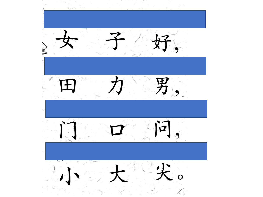好。 男  $\cdot$  $\overline{p}$ E o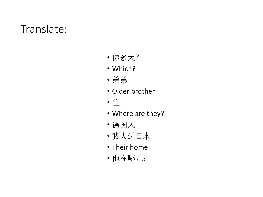### Translate:

- 你多大?
- Which?
- 弟弟
- Older brother
- 住
- Where are they?
- 德国人
- 我去过日本
- Their home
- 他在哪儿?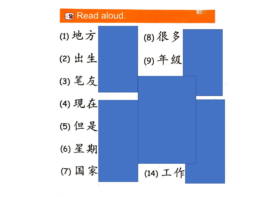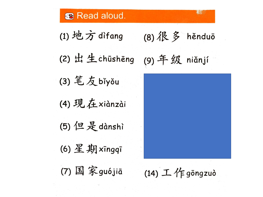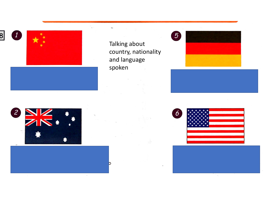





Talking about country, nationality and language spoken

D

N.





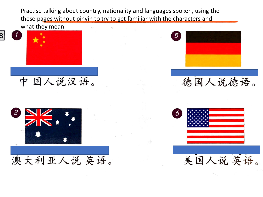Practise talking about country, nationality and languages spoken, using the these pages without pinyin to try to get familiar with the characters and



 $\boxed{1}$ 



中国人说汉语。



澳大利亚人说英语。



德国人说德语。

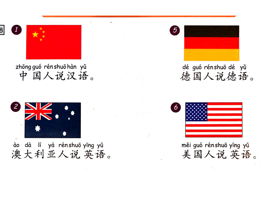

zhōng guó rén shuō hàn yǔ 中国人说汉语。



ào dà lì yà rénshuō yīng yǔ 澳大利亚人说英语。



dé guó rénshuō dé yǔ 德国人说德语。



měi guó rénshuō yīng yǔ 美国人说英语。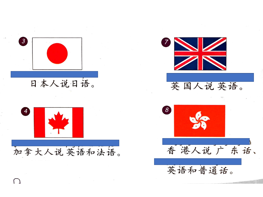

日本人说日语。





英国人说英语。



 $\left( \begin{array}{c} \end{array} \right)$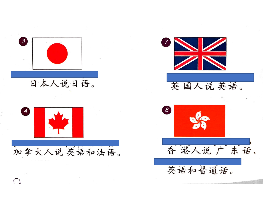

日本人说日语。





英国人说英语。



 $\left( \begin{array}{c} \end{array} \right)$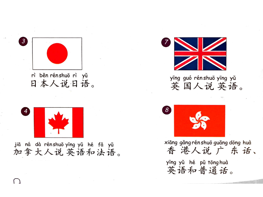



jiā ná dà rénshuō yīng yǔ hé fǎ yǔ 加拿大人说英语和法语。



#### yīng guó rénshuō yīng yǔ 英国人说英语。



xiāng gǎng rén shuō guǎng dōng huà 香港人说广东话、

yīng yǔ hé pǔ tōng huà 英语和普通话。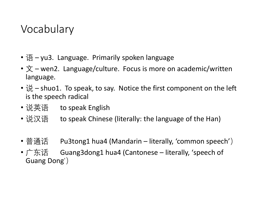### Vocabulary

- 语 yu3. Language. Primarily spoken language
- $\dot{\chi}$  wen2. Language/culture. Focus is more on academic/written language.
- 说 shuo1. To speak, to say. Notice the first component on the left is the speech radical
- 说英语 to speak English
- 说汉语 to speak Chinese (literally: the language of the Han)
- 普通话 Pu3tong1 hua4 (Mandarin literally, 'common speech')
- 广东话 Guang3dong1 hua4 (Cantonese literally, 'speech of Guang Dong')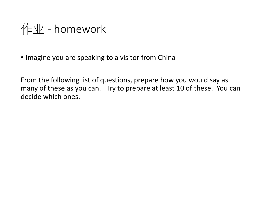$\sqrt{E}$  - homework

• Imagine you are speaking to a visitor from China

From the following list of questions, prepare how you would say as many of these as you can. Try to prepare at least 10 of these. You can decide which ones.